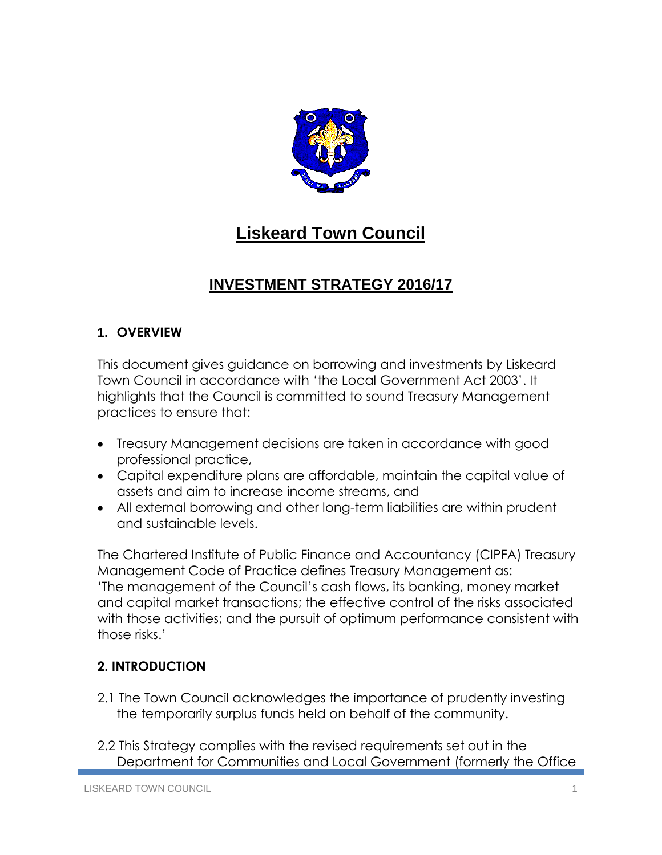

# **Liskeard Town Council**

## **INVESTMENT STRATEGY 2016/17**

### **1. OVERVIEW**

This document gives guidance on borrowing and investments by Liskeard Town Council in accordance with 'the Local Government Act 2003'. It highlights that the Council is committed to sound Treasury Management practices to ensure that:

- Treasury Management decisions are taken in accordance with good professional practice,
- Capital expenditure plans are affordable, maintain the capital value of assets and aim to increase income streams, and
- All external borrowing and other long-term liabilities are within prudent and sustainable levels.

The Chartered Institute of Public Finance and Accountancy (CIPFA) Treasury Management Code of Practice defines Treasury Management as: 'The management of the Council's cash flows, its banking, money market and capital market transactions; the effective control of the risks associated with those activities; and the pursuit of optimum performance consistent with those risks.'

### **2. INTRODUCTION**

- 2.1 The Town Council acknowledges the importance of prudently investing the temporarily surplus funds held on behalf of the community.
- 2.2 This Strategy complies with the revised requirements set out in the Department for Communities and Local Government (formerly the Office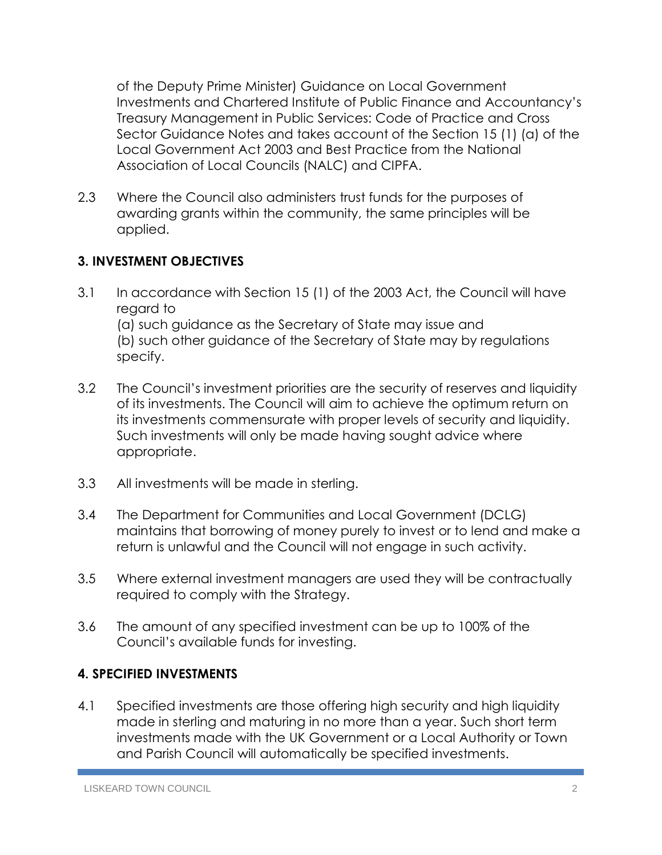of the Deputy Prime Minister) Guidance on Local Government Investments and Chartered Institute of Public Finance and Accountancy's Treasury Management in Public Services: Code of Practice and Cross Sector Guidance Notes and takes account of the Section 15 (1) (a) of the Local Government Act 2003 and Best Practice from the National Association of Local Councils (NALC) and CIPFA.

2.3 Where the Council also administers trust funds for the purposes of awarding grants within the community, the same principles will be applied.

### **3. INVESTMENT OBJECTIVES**

- 3.1 In accordance with Section 15 (1) of the 2003 Act, the Council will have regard to (a) such guidance as the Secretary of State may issue and (b) such other guidance of the Secretary of State may by regulations specify.
- 3.2 The Council's investment priorities are the security of reserves and liquidity of its investments. The Council will aim to achieve the optimum return on its investments commensurate with proper levels of security and liquidity. Such investments will only be made having sought advice where appropriate.
- 3.3 All investments will be made in sterling.
- 3.4 The Department for Communities and Local Government (DCLG) maintains that borrowing of money purely to invest or to lend and make a return is unlawful and the Council will not engage in such activity.
- 3.5 Where external investment managers are used they will be contractually required to comply with the Strategy.
- 3.6 The amount of any specified investment can be up to 100% of the Council's available funds for investing.

### **4. SPECIFIED INVESTMENTS**

4.1 Specified investments are those offering high security and high liquidity made in sterling and maturing in no more than a year. Such short term investments made with the UK Government or a Local Authority or Town and Parish Council will automatically be specified investments.

LISKEARD TOWN COUNCIL 2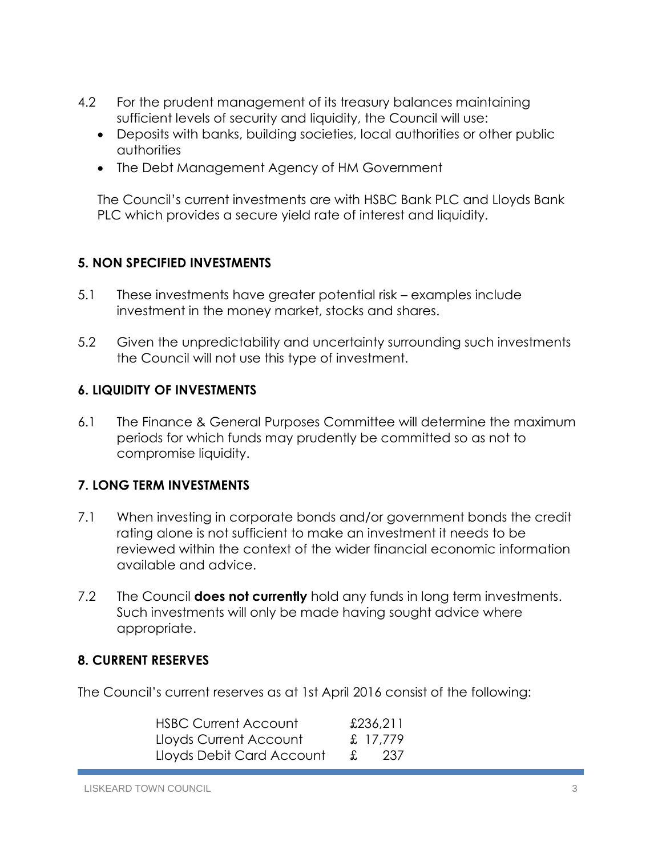- 4.2 For the prudent management of its treasury balances maintaining sufficient levels of security and liquidity, the Council will use:
	- Deposits with banks, building societies, local authorities or other public authorities
	- The Debt Management Agency of HM Government

The Council's current investments are with HSBC Bank PLC and Lloyds Bank PLC which provides a secure yield rate of interest and liquidity.

### **5. NON SPECIFIED INVESTMENTS**

- 5.1 These investments have greater potential risk examples include investment in the money market, stocks and shares.
- 5.2 Given the unpredictability and uncertainty surrounding such investments the Council will not use this type of investment.

### **6. LIQUIDITY OF INVESTMENTS**

6.1 The Finance & General Purposes Committee will determine the maximum periods for which funds may prudently be committed so as not to compromise liquidity.

#### **7. LONG TERM INVESTMENTS**

- 7.1 When investing in corporate bonds and/or government bonds the credit rating alone is not sufficient to make an investment it needs to be reviewed within the context of the wider financial economic information available and advice.
- 7.2 The Council **does not currently** hold any funds in long term investments. Such investments will only be made having sought advice where appropriate.

#### **8. CURRENT RESERVES**

The Council's current reserves as at 1st April 2016 consist of the following:

| <b>HSBC Current Account</b> |    | £236,211 |
|-----------------------------|----|----------|
| Lloyds Current Account      |    | £ 17.779 |
| Lloyds Debit Card Account   | X. | - 237    |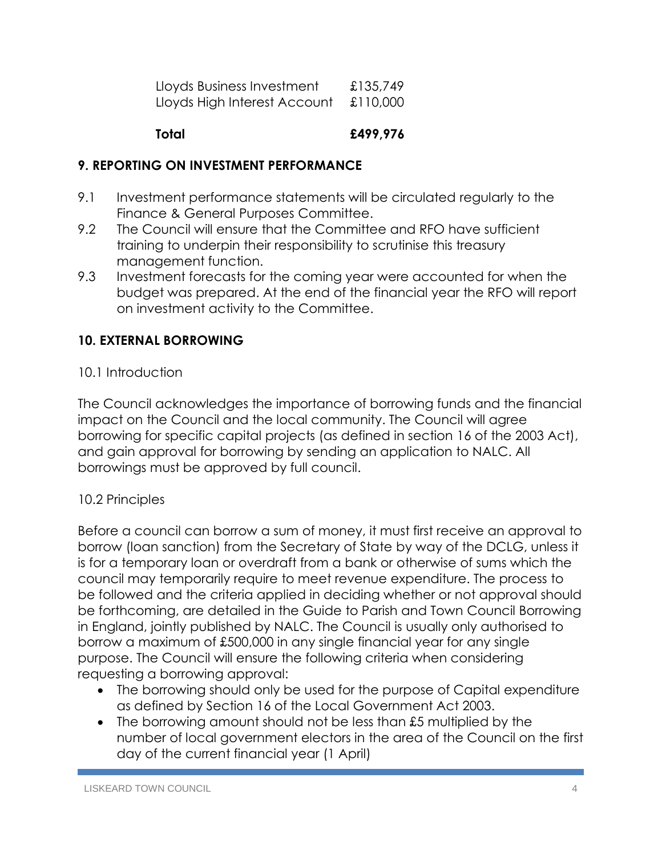| Lloyds Business Investment   | £135,749 |
|------------------------------|----------|
| Lloyds High Interest Account | £110,000 |

### **Total £499,976**

### **9. REPORTING ON INVESTMENT PERFORMANCE**

- 9.1 Investment performance statements will be circulated regularly to the Finance & General Purposes Committee.
- 9.2 The Council will ensure that the Committee and RFO have sufficient training to underpin their responsibility to scrutinise this treasury management function.
- 9.3 Investment forecasts for the coming year were accounted for when the budget was prepared. At the end of the financial year the RFO will report on investment activity to the Committee.

### **10. EXTERNAL BORROWING**

### 10.1 Introduction

The Council acknowledges the importance of borrowing funds and the financial impact on the Council and the local community. The Council will agree borrowing for specific capital projects (as defined in section 16 of the 2003 Act), and gain approval for borrowing by sending an application to NALC. All borrowings must be approved by full council.

### 10.2 Principles

Before a council can borrow a sum of money, it must first receive an approval to borrow (loan sanction) from the Secretary of State by way of the DCLG, unless it is for a temporary loan or overdraft from a bank or otherwise of sums which the council may temporarily require to meet revenue expenditure. The process to be followed and the criteria applied in deciding whether or not approval should be forthcoming, are detailed in the Guide to Parish and Town Council Borrowing in England, jointly published by NALC. The Council is usually only authorised to borrow a maximum of £500,000 in any single financial year for any single purpose. The Council will ensure the following criteria when considering requesting a borrowing approval:

- The borrowing should only be used for the purpose of Capital expenditure as defined by Section 16 of the Local Government Act 2003.
- The borrowing amount should not be less than £5 multiplied by the number of local government electors in the area of the Council on the first day of the current financial year (1 April)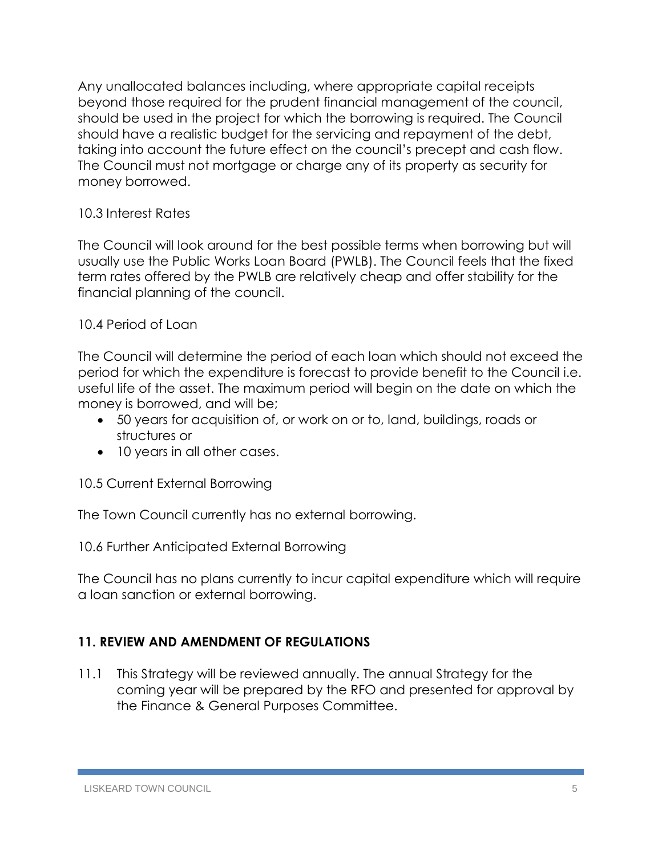Any unallocated balances including, where appropriate capital receipts beyond those required for the prudent financial management of the council, should be used in the project for which the borrowing is required. The Council should have a realistic budget for the servicing and repayment of the debt, taking into account the future effect on the council's precept and cash flow. The Council must not mortgage or charge any of its property as security for money borrowed.

### 10.3 Interest Rates

The Council will look around for the best possible terms when borrowing but will usually use the Public Works Loan Board (PWLB). The Council feels that the fixed term rates offered by the PWLB are relatively cheap and offer stability for the financial planning of the council.

### 10.4 Period of Loan

The Council will determine the period of each loan which should not exceed the period for which the expenditure is forecast to provide benefit to the Council i.e. useful life of the asset. The maximum period will begin on the date on which the money is borrowed, and will be;

- 50 years for acquisition of, or work on or to, land, buildings, roads or structures or
- 10 years in all other cases.

10.5 Current External Borrowing

The Town Council currently has no external borrowing.

10.6 Further Anticipated External Borrowing

The Council has no plans currently to incur capital expenditure which will require a loan sanction or external borrowing.

### **11. REVIEW AND AMENDMENT OF REGULATIONS**

11.1 This Strategy will be reviewed annually. The annual Strategy for the coming year will be prepared by the RFO and presented for approval by the Finance & General Purposes Committee.